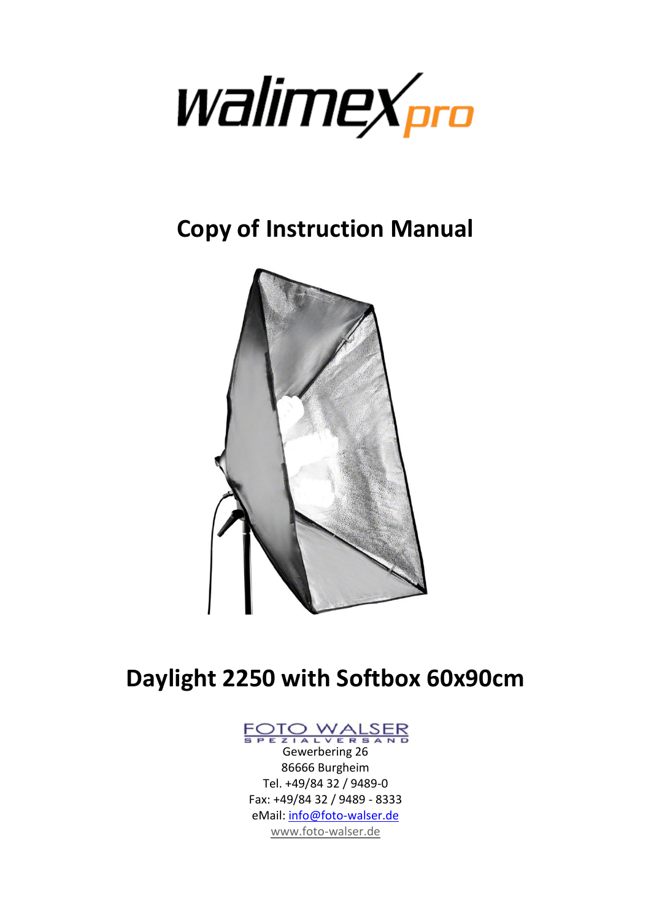

**Copy of Instruction Manual**



# **Daylight 2250 with Softbox 60x90cm**



Gewerbering 26 86666 Burgheim Tel. +49/84 32 / 9489-0 Fax: +49/84 32 / 9489 - 8333 eMail: [info@foto-walser.de](mailto:info@foto-walser.de) [www.foto-walser.de](http://www.foto-walser.de/)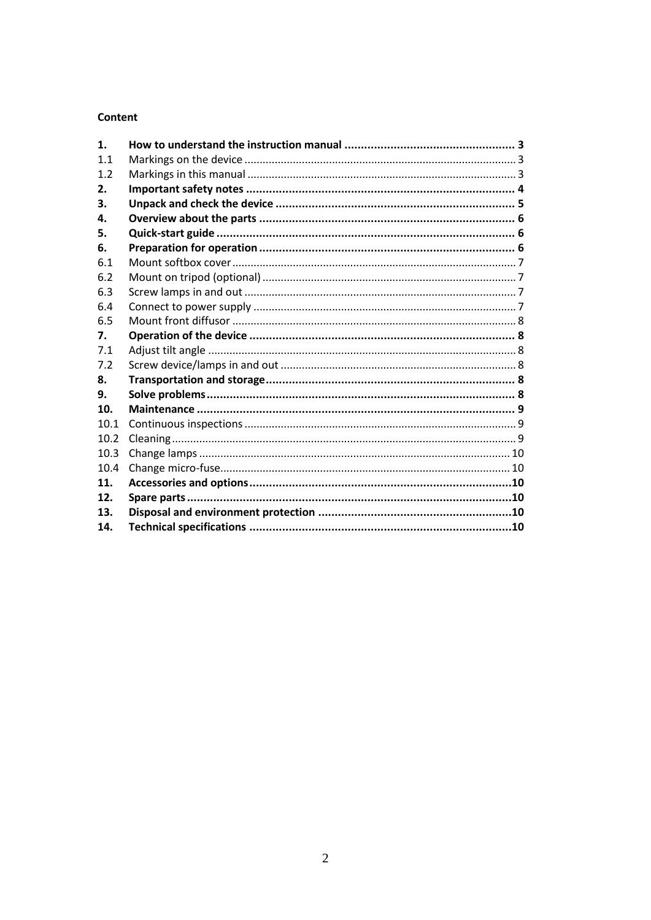## Content

| 1.   |  |
|------|--|
| 1.1  |  |
| 1.2  |  |
| 2.   |  |
| 3.   |  |
| 4.   |  |
| 5.   |  |
| 6.   |  |
| 6.1  |  |
| 6.2  |  |
| 6.3  |  |
| 6.4  |  |
| 6.5  |  |
| 7.   |  |
| 7.1  |  |
| 7.2  |  |
| 8.   |  |
| 9.   |  |
| 10.  |  |
| 10.1 |  |
| 10.2 |  |
| 10.3 |  |
| 10.4 |  |
| 11.  |  |
| 12.  |  |
| 13.  |  |
| 14.  |  |
|      |  |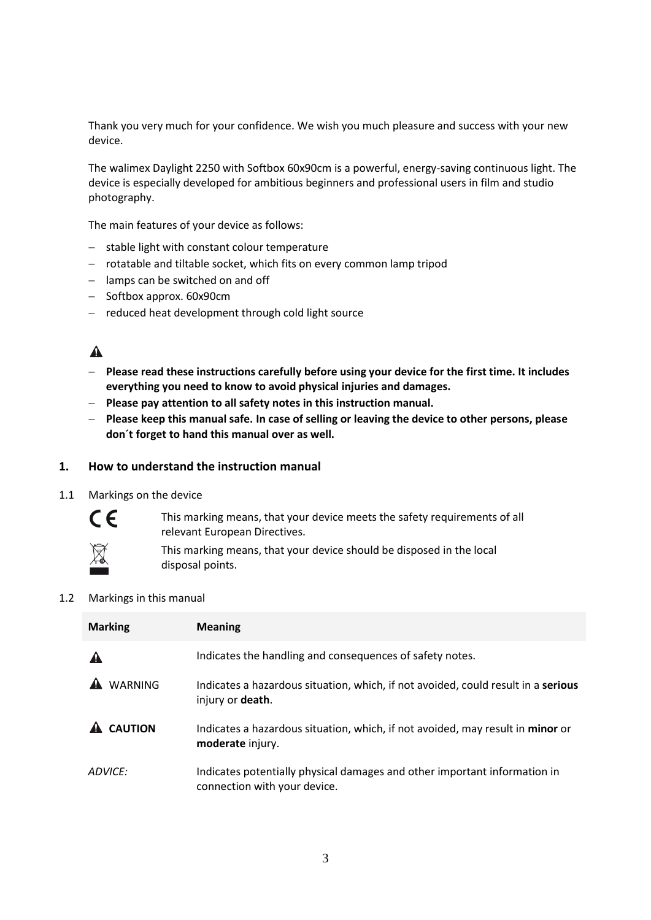Thank you very much for your confidence. We wish you much pleasure and success with your new device.

The walimex Daylight 2250 with Softbox 60x90cm is a powerful, energy-saving continuous light. The device is especially developed for ambitious beginners and professional users in film and studio photography.

The main features of your device as follows:

- $-$  stable light with constant colour temperature
- rotatable and tiltable socket, which fits on every common lamp tripod
- lamps can be switched on and off
- $-$  Softbox approx. 60x90cm
- $-$  reduced heat development through cold light source

## $\blacktriangle$

- **Please read these instructions carefully before using your device for the first time. It includes everything you need to know to avoid physical injuries and damages.**
- **Please pay attention to all safety notes in this instruction manual.**
- **Please keep this manual safe. In case of selling or leaving the device to other persons, please don´t forget to hand this manual over as well.**

#### **1. How to understand the instruction manual**

1.1 Markings on the device



This marking means, that your device meets the safety requirements of all relevant European Directives.



This marking means, that your device should be disposed in the local disposal points.

#### 1.2 Markings in this manual

| <b>Marking</b> | <b>Meaning</b>                                                                                                |  |
|----------------|---------------------------------------------------------------------------------------------------------------|--|
|                | Indicates the handling and consequences of safety notes.                                                      |  |
| <b>WARNING</b> | Indicates a hazardous situation, which, if not avoided, could result in a serious<br>injury or <b>death</b> . |  |
| <b>CAUTION</b> | Indicates a hazardous situation, which, if not avoided, may result in minor or<br>moderate injury.            |  |
| ADVICE:        | Indicates potentially physical damages and other important information in<br>connection with your device.     |  |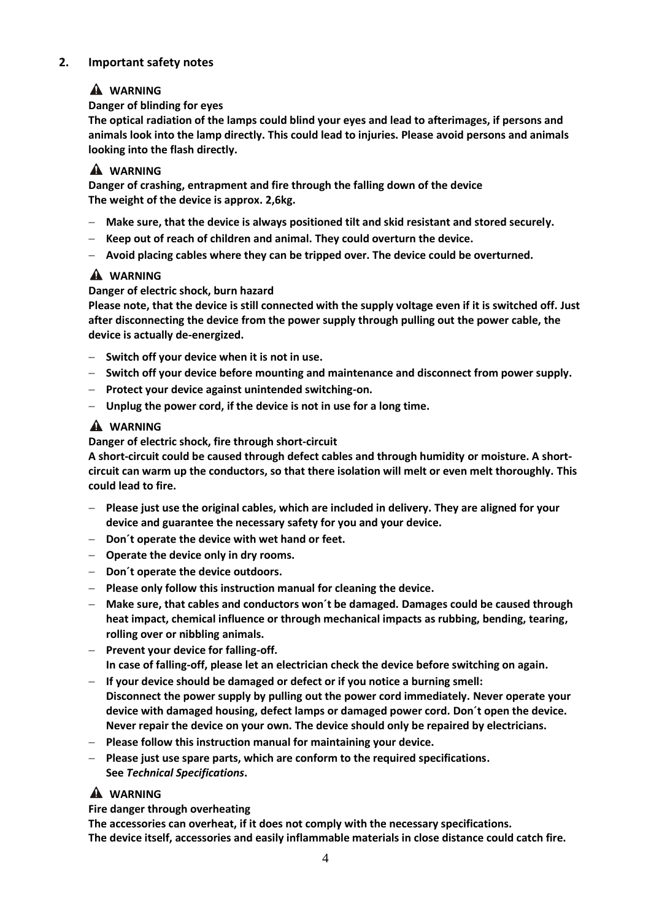## **2. Important safety notes**

## **WARNING**

## **Danger of blinding for eyes**

**The optical radiation of the lamps could blind your eyes and lead to afterimages, if persons and animals look into the lamp directly. This could lead to injuries. Please avoid persons and animals looking into the flash directly.**

## **A** WARNING

**Danger of crashing, entrapment and fire through the falling down of the device The weight of the device is approx. 2,6kg.**

- **Make sure, that the device is always positioned tilt and skid resistant and stored securely.**
- **Keep out of reach of children and animal. They could overturn the device.**
- **Avoid placing cables where they can be tripped over. The device could be overturned.**

# **WARNING**

## **Danger of electric shock, burn hazard**

**Please note, that the device is still connected with the supply voltage even if it is switched off. Just after disconnecting the device from the power supply through pulling out the power cable, the device is actually de-energized.**

- **Switch off your device when it is not in use.**
- **Switch off your device before mounting and maintenance and disconnect from power supply.**
- **Protect your device against unintended switching-on.**
- **Unplug the power cord, if the device is not in use for a long time.**

## **A** WARNING

## **Danger of electric shock, fire through short-circuit**

**A short-circuit could be caused through defect cables and through humidity or moisture. A shortcircuit can warm up the conductors, so that there isolation will melt or even melt thoroughly. This could lead to fire.**

- **Please just use the original cables, which are included in delivery. They are aligned for your device and guarantee the necessary safety for you and your device.**
- **Don´t operate the device with wet hand or feet.**
- **Operate the device only in dry rooms.**
- **Don´t operate the device outdoors.**
- **Please only follow this instruction manual for cleaning the device.**
- **Make sure, that cables and conductors won´t be damaged. Damages could be caused through heat impact, chemical influence or through mechanical impacts as rubbing, bending, tearing, rolling over or nibbling animals.**
- **Prevent your device for falling-off. In case of falling-off, please let an electrician check the device before switching on again.**
- **If your device should be damaged or defect or if you notice a burning smell: Disconnect the power supply by pulling out the power cord immediately. Never operate your device with damaged housing, defect lamps or damaged power cord. Don´t open the device. Never repair the device on your own. The device should only be repaired by electricians.**
- **Please follow this instruction manual for maintaining your device.**
- **Please just use spare parts, which are conform to the required specifications. See** *Technical Specifications***.**

## **WARNING**

#### **Fire danger through overheating**

**The accessories can overheat, if it does not comply with the necessary specifications. The device itself, accessories and easily inflammable materials in close distance could catch fire.**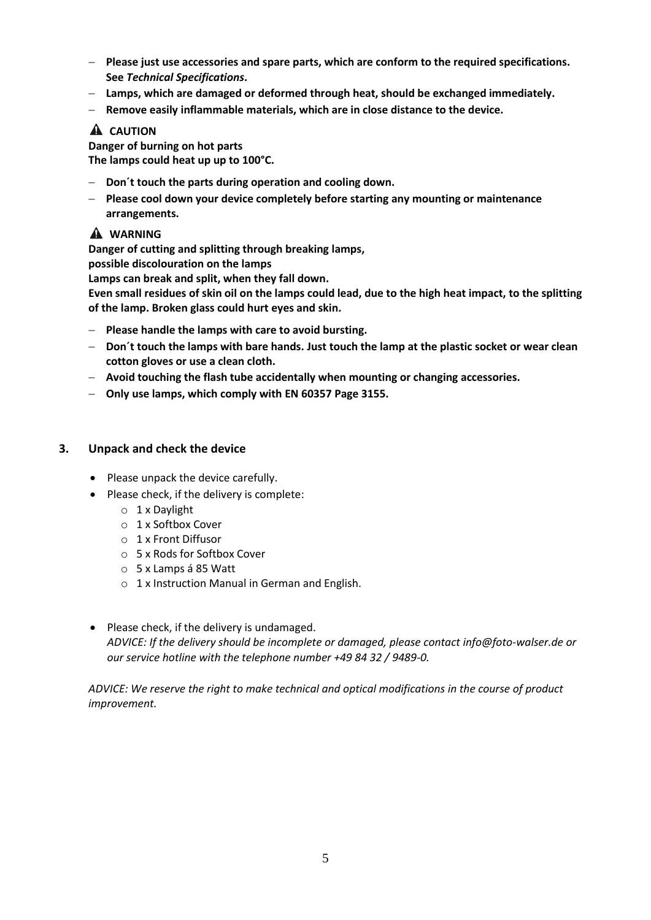- **Please just use accessories and spare parts, which are conform to the required specifications. See** *Technical Specifications***.**
- **Lamps, which are damaged or deformed through heat, should be exchanged immediately.**
- **Remove easily inflammable materials, which are in close distance to the device.**

## **A** CAUTION

**Danger of burning on hot parts The lamps could heat up up to 100°C.**

- **Don´t touch the parts during operation and cooling down.**
- **Please cool down your device completely before starting any mounting or maintenance arrangements.**

#### **WARNING**

**Danger of cutting and splitting through breaking lamps,**

**possible discolouration on the lamps**

**Lamps can break and split, when they fall down.**

**Even small residues of skin oil on the lamps could lead, due to the high heat impact, to the splitting of the lamp. Broken glass could hurt eyes and skin.**

- **Please handle the lamps with care to avoid bursting.**
- **Don´t touch the lamps with bare hands. Just touch the lamp at the plastic socket or wear clean cotton gloves or use a clean cloth.**
- **Avoid touching the flash tube accidentally when mounting or changing accessories.**
- **Only use lamps, which comply with EN 60357 Page 3155.**

#### **3. Unpack and check the device**

- Please unpack the device carefully.
- Please check, if the delivery is complete:
	- o 1 x Daylight
	- o 1 x Softbox Cover
	- o 1 x Front Diffusor
	- o 5 x Rods for Softbox Cover
	- o 5 x Lamps á 85 Watt
	- o 1 x Instruction Manual in German and English.
- Please check, if the delivery is undamaged. *ADVICE: If the delivery should be incomplete or damaged, please contact info@foto-walser.de or our service hotline with the telephone number +49 84 32 / 9489-0.*

*ADVICE: We reserve the right to make technical and optical modifications in the course of product improvement.*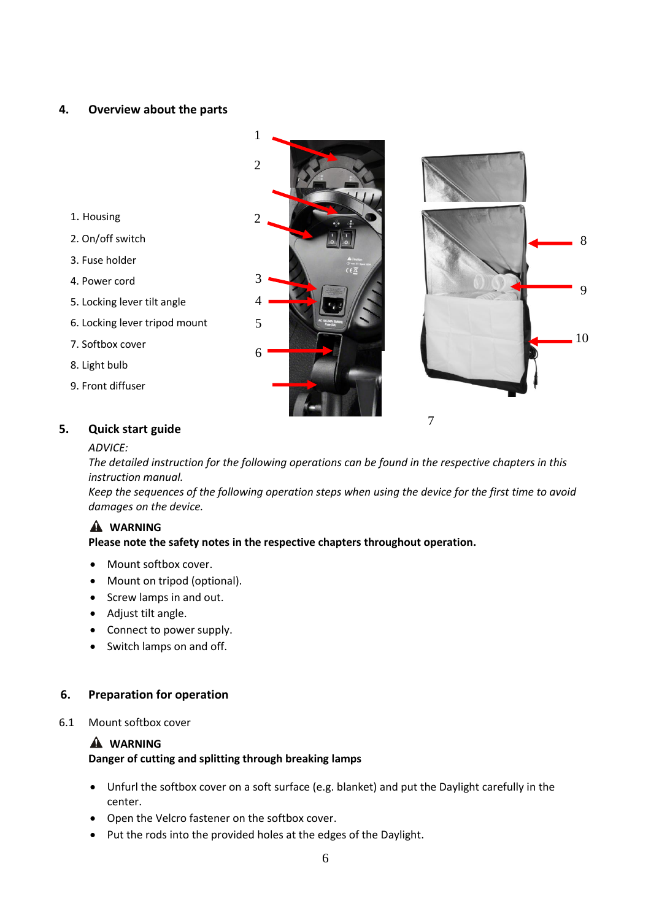#### **4. Overview about the parts**

- 1. Housing
- 2. On/off switch
- 3. Fuse holder
- 4. Power cord
- 5. Locking lever tilt angle
- 6. Locking lever tripod mount
- 7. Softbox cover
- 8. Light bulb
- 9. Front diffuser





## **5. Quick start guide**

#### *ADVICE:*

*The detailed instruction for the following operations can be found in the respective chapters in this instruction manual.* 

*Keep the sequences of the following operation steps when using the device for the first time to avoid damages on the device.*

#### **WARNING**

#### **Please note the safety notes in the respective chapters throughout operation.**

1

- Mount softbox cover.
- Mount on tripod (optional).
- Screw lamps in and out.
- Adjust tilt angle.
- Connect to power supply.
- Switch lamps on and off.

#### **6. Preparation for operation**

6.1 Mount softbox cover

#### **WARNING**

#### **Danger of cutting and splitting through breaking lamps**

- Unfurl the softbox cover on a soft surface (e.g. blanket) and put the Daylight carefully in the center.
- Open the Velcro fastener on the softbox cover.
- Put the rods into the provided holes at the edges of the Daylight.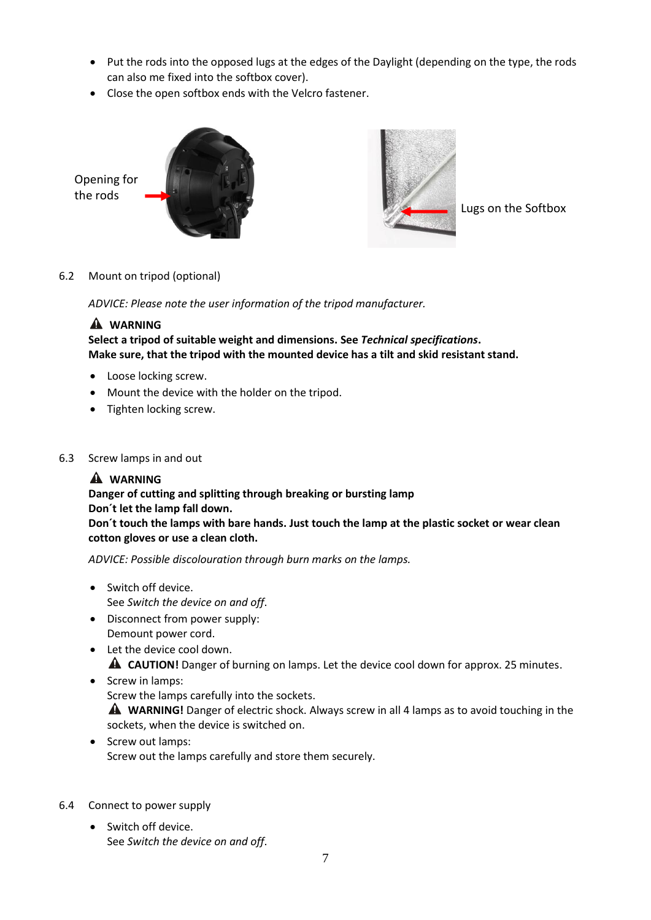- Put the rods into the opposed lugs at the edges of the Daylight (depending on the type, the rods can also me fixed into the softbox cover).
- Close the open softbox ends with the Velcro fastener.





Lugs on the Softbox

#### 6.2 Mount on tripod (optional)

*ADVICE: Please note the user information of the tripod manufacturer.*

## **WARNING**

**Select a tripod of suitable weight and dimensions. See** *Technical specifications***. Make sure, that the tripod with the mounted device has a tilt and skid resistant stand.**

- Loose locking screw.
- Mount the device with the holder on the tripod.
- Tighten locking screw.
- 6.3 Screw lamps in and out

## **WARNING**

#### **Danger of cutting and splitting through breaking or bursting lamp Don´t let the lamp fall down.**

**Don´t touch the lamps with bare hands. Just touch the lamp at the plastic socket or wear clean cotton gloves or use a clean cloth.**

*ADVICE: Possible discolouration through burn marks on the lamps.*

- Switch off device. See *Switch the device on and off*.
- Disconnect from power supply: Demount power cord.
- Let the device cool down. **A** CAUTION! Danger of burning on lamps. Let the device cool down for approx. 25 minutes.
- Screw in lamps: Screw the lamps carefully into the sockets. **WARNING!** Danger of electric shock. Always screw in all 4 lamps as to avoid touching in the sockets, when the device is switched on.
- Screw out lamps: Screw out the lamps carefully and store them securely.
- 6.4 Connect to power supply
	- Switch off device. See *Switch the device on and off*.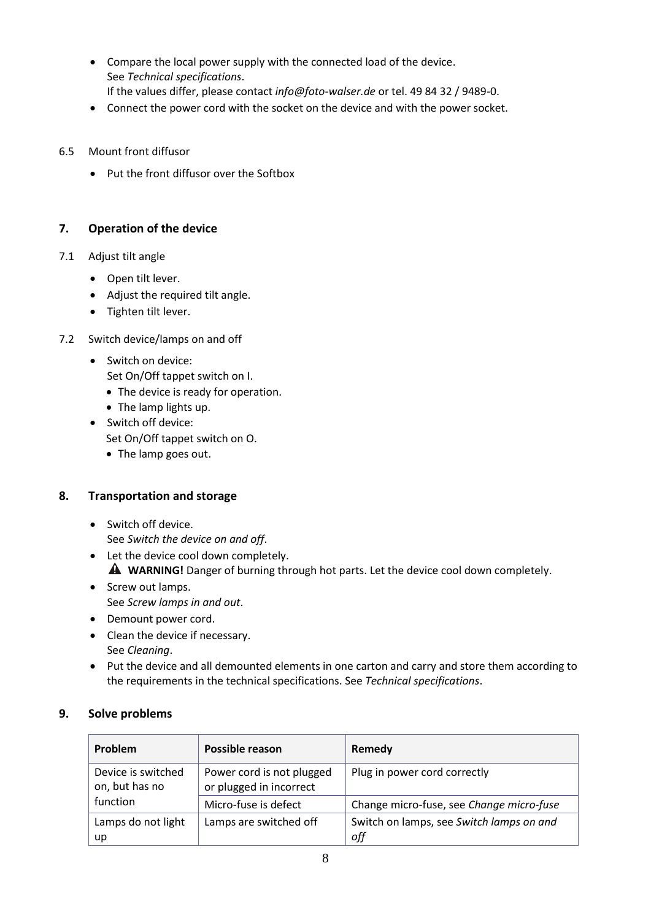- Compare the local power supply with the connected load of the device. See *Technical specifications*. If the values differ, please contact *info@foto-walser.de* or tel. 49 84 32 / 9489-0.
- Connect the power cord with the socket on the device and with the power socket.
- 6.5 Mount front diffusor
	- Put the front diffusor over the Softbox

## **7. Operation of the device**

- 7.1 Adjust tilt angle
	- Open tilt lever.
	- Adjust the required tilt angle.
	- Tighten tilt lever.
- 7.2 Switch device/lamps on and off
	- Switch on device:
		- Set On/Off tappet switch on I.
		- The device is ready for operation.
		- The lamp lights up.
	- Switch off device:
		- Set On/Off tappet switch on O.
		- The lamp goes out.

## **8. Transportation and storage**

- Switch off device. See *Switch the device on and off*.
- Let the device cool down completely. **A** WARNING! Danger of burning through hot parts. Let the device cool down completely.
- Screw out lamps. See *Screw lamps in and out*.
- Demount power cord.
- Clean the device if necessary. See *Cleaning*.
- Put the device and all demounted elements in one carton and carry and store them according to the requirements in the technical specifications. See *Technical specifications*.

#### **9. Solve problems**

| Problem                              | Possible reason                                      | Remedy                                          |
|--------------------------------------|------------------------------------------------------|-------------------------------------------------|
| Device is switched<br>on, but has no | Power cord is not plugged<br>or plugged in incorrect | Plug in power cord correctly                    |
| function                             | Micro-fuse is defect                                 | Change micro-fuse, see Change micro-fuse        |
| Lamps do not light<br>up             | Lamps are switched off                               | Switch on lamps, see Switch lamps on and<br>off |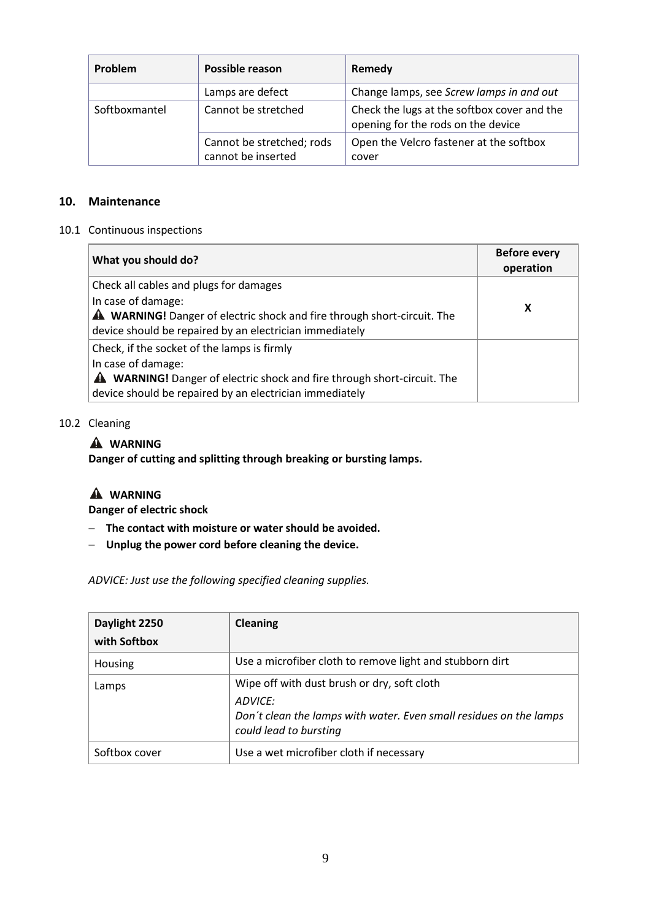| Problem       | Possible reason                                 | Remedy                                                                            |
|---------------|-------------------------------------------------|-----------------------------------------------------------------------------------|
|               | Lamps are defect                                | Change lamps, see Screw lamps in and out                                          |
| Softboxmantel | Cannot be stretched                             | Check the lugs at the softbox cover and the<br>opening for the rods on the device |
|               | Cannot be stretched; rods<br>cannot be inserted | Open the Velcro fastener at the softbox<br>cover                                  |

## **10. Maintenance**

#### 10.1 Continuous inspections

| What you should do?                                                                                                                                             | <b>Before every</b><br>operation |
|-----------------------------------------------------------------------------------------------------------------------------------------------------------------|----------------------------------|
| Check all cables and plugs for damages                                                                                                                          |                                  |
| In case of damage:<br><b>A WARNING!</b> Danger of electric shock and fire through short-circuit. The<br>device should be repaired by an electrician immediately | x                                |
| Check, if the socket of the lamps is firmly                                                                                                                     |                                  |
| In case of damage:                                                                                                                                              |                                  |
| <b>A</b> WARNING! Danger of electric shock and fire through short-circuit. The                                                                                  |                                  |
| device should be repaired by an electrician immediately                                                                                                         |                                  |

#### 10.2 Cleaning

## **WARNING**

**Danger of cutting and splitting through breaking or bursting lamps.**

#### **WARNING**

**Danger of electric shock**

- **The contact with moisture or water should be avoided.**
- **Unplug the power cord before cleaning the device.**

*ADVICE: Just use the following specified cleaning supplies.* 

| Daylight 2250<br>with Softbox | Cleaning                                                                                                                                               |
|-------------------------------|--------------------------------------------------------------------------------------------------------------------------------------------------------|
| Housing                       | Use a microfiber cloth to remove light and stubborn dirt                                                                                               |
| Lamps                         | Wipe off with dust brush or dry, soft cloth<br>ADVICE:<br>Don't clean the lamps with water. Even small residues on the lamps<br>could lead to bursting |
| Softbox cover                 | Use a wet microfiber cloth if necessary                                                                                                                |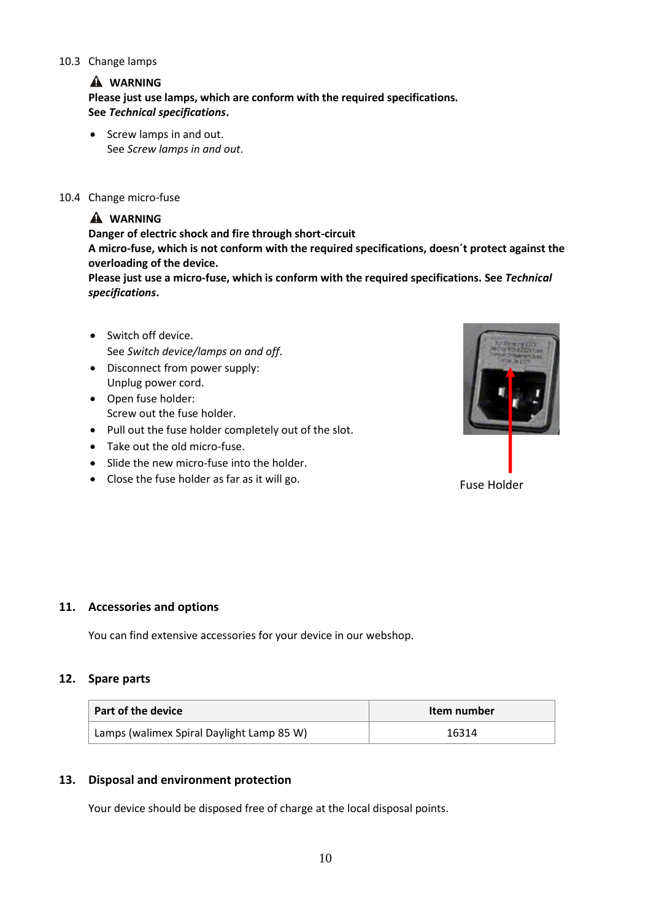#### 10.3 Change lamps

## **WARNING**

**Please just use lamps, which are conform with the required specifications. See** *Technical specifications***.**

• Screw lamps in and out. See *Screw lamps in and out*.

#### 10.4 Change micro-fuse

## **WARNING**

**Danger of electric shock and fire through short-circuit**

**A micro-fuse, which is not conform with the required specifications, doesn´t protect against the overloading of the device.** 

**Please just use a micro-fuse, which is conform with the required specifications. See** *Technical specifications***.**

- Switch off device. See *Switch device/lamps on and off*.
- Disconnect from power supply: Unplug power cord.
- Open fuse holder: Screw out the fuse holder.
- Pull out the fuse holder completely out of the slot.
- Take out the old micro-fuse.
- Slide the new micro-fuse into the holder.
- Close the fuse holder as far as it will go.



#### **11. Accessories and options**

You can find extensive accessories for your device in our webshop.

#### **12. Spare parts**

| Part of the device                        | Item number |  |
|-------------------------------------------|-------------|--|
| Lamps (walimex Spiral Daylight Lamp 85 W) | 16314       |  |

#### **13. Disposal and environment protection**

Your device should be disposed free of charge at the local disposal points.